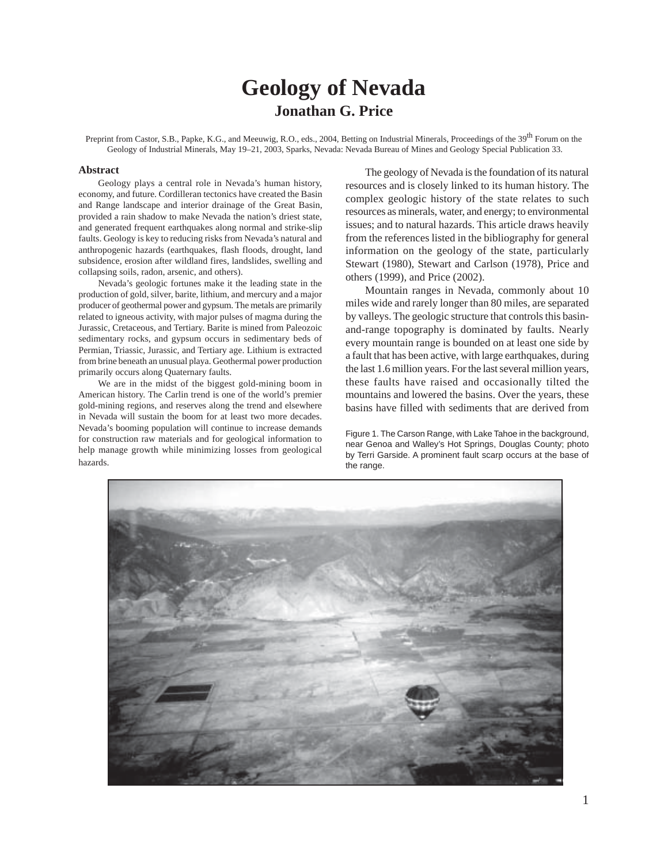# **Geology of Nevada Jonathan G. Price**

Preprint from Castor, S.B., Papke, K.G., and Meeuwig, R.O., eds., 2004, Betting on Industrial Minerals, Proceedings of the 39<sup>th</sup> Forum on the Geology of Industrial Minerals, May 19–21, 2003, Sparks, Nevada: Nevada Bureau of Mines and Geology Special Publication 33.

#### **Abstract**

Geology plays a central role in Nevada's human history, economy, and future. Cordilleran tectonics have created the Basin and Range landscape and interior drainage of the Great Basin, provided a rain shadow to make Nevada the nation's driest state, and generated frequent earthquakes along normal and strike-slip faults. Geology is key to reducing risks from Nevada's natural and anthropogenic hazards (earthquakes, flash floods, drought, land subsidence, erosion after wildland fires, landslides, swelling and collapsing soils, radon, arsenic, and others).

Nevada's geologic fortunes make it the leading state in the production of gold, silver, barite, lithium, and mercury and a major producer of geothermal power and gypsum. The metals are primarily related to igneous activity, with major pulses of magma during the Jurassic, Cretaceous, and Tertiary. Barite is mined from Paleozoic sedimentary rocks, and gypsum occurs in sedimentary beds of Permian, Triassic, Jurassic, and Tertiary age. Lithium is extracted from brine beneath an unusual playa. Geothermal power production primarily occurs along Quaternary faults.

We are in the midst of the biggest gold-mining boom in American history. The Carlin trend is one of the world's premier gold-mining regions, and reserves along the trend and elsewhere in Nevada will sustain the boom for at least two more decades. Nevada's booming population will continue to increase demands for construction raw materials and for geological information to help manage growth while minimizing losses from geological hazards.

The geology of Nevada is the foundation of its natural resources and is closely linked to its human history. The complex geologic history of the state relates to such resources as minerals, water, and energy; to environmental issues; and to natural hazards. This article draws heavily from the references listed in the bibliography for general information on the geology of the state, particularly Stewart (1980), Stewart and Carlson (1978), Price and others (1999), and Price (2002).

Mountain ranges in Nevada, commonly about 10 miles wide and rarely longer than 80 miles, are separated by valleys. The geologic structure that controls this basinand-range topography is dominated by faults. Nearly every mountain range is bounded on at least one side by a fault that has been active, with large earthquakes, during the last 1.6 million years. For the last several million years, these faults have raised and occasionally tilted the mountains and lowered the basins. Over the years, these basins have filled with sediments that are derived from

Figure 1. The Carson Range, with Lake Tahoe in the background, near Genoa and Walley's Hot Springs, Douglas County; photo by Terri Garside. A prominent fault scarp occurs at the base of the range.

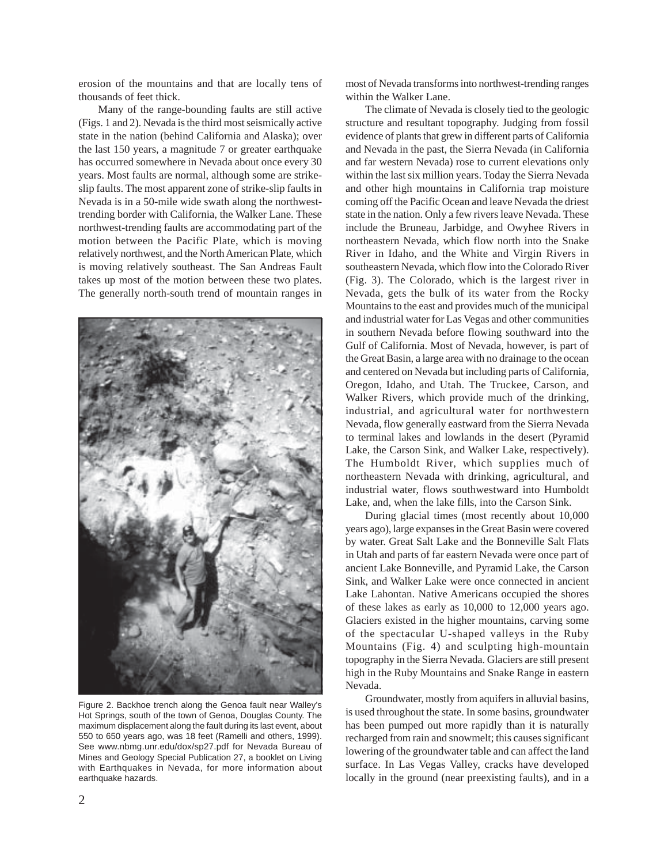erosion of the mountains and that are locally tens of thousands of feet thick.

Many of the range-bounding faults are still active (Figs. 1 and 2). Nevada is the third most seismically active state in the nation (behind California and Alaska); over the last 150 years, a magnitude 7 or greater earthquake has occurred somewhere in Nevada about once every 30 years. Most faults are normal, although some are strikeslip faults. The most apparent zone of strike-slip faults in Nevada is in a 50-mile wide swath along the northwesttrending border with California, the Walker Lane. These northwest-trending faults are accommodating part of the motion between the Pacific Plate, which is moving relatively northwest, and the North American Plate, which is moving relatively southeast. The San Andreas Fault takes up most of the motion between these two plates. The generally north-south trend of mountain ranges in



Figure 2. Backhoe trench along the Genoa fault near Walley's Hot Springs, south of the town of Genoa, Douglas County. The maximum displacement along the fault during its last event, about 550 to 650 years ago, was 18 feet (Ramelli and others, 1999). See www.nbmg.unr.edu/dox/sp27.pdf for Nevada Bureau of Mines and Geology Special Publication 27, a booklet on Living with Earthquakes in Nevada, for more information about earthquake hazards.

most of Nevada transforms into northwest-trending ranges within the Walker Lane.

The climate of Nevada is closely tied to the geologic structure and resultant topography. Judging from fossil evidence of plants that grew in different parts of California and Nevada in the past, the Sierra Nevada (in California and far western Nevada) rose to current elevations only within the last six million years. Today the Sierra Nevada and other high mountains in California trap moisture coming off the Pacific Ocean and leave Nevada the driest state in the nation. Only a few rivers leave Nevada. These include the Bruneau, Jarbidge, and Owyhee Rivers in northeastern Nevada, which flow north into the Snake River in Idaho, and the White and Virgin Rivers in southeastern Nevada, which flow into the Colorado River (Fig. 3). The Colorado, which is the largest river in Nevada, gets the bulk of its water from the Rocky Mountains to the east and provides much of the municipal and industrial water for Las Vegas and other communities in southern Nevada before flowing southward into the Gulf of California. Most of Nevada, however, is part of the Great Basin, a large area with no drainage to the ocean and centered on Nevada but including parts of California, Oregon, Idaho, and Utah. The Truckee, Carson, and Walker Rivers, which provide much of the drinking, industrial, and agricultural water for northwestern Nevada, flow generally eastward from the Sierra Nevada to terminal lakes and lowlands in the desert (Pyramid Lake, the Carson Sink, and Walker Lake, respectively). The Humboldt River, which supplies much of northeastern Nevada with drinking, agricultural, and industrial water, flows southwestward into Humboldt Lake, and, when the lake fills, into the Carson Sink.

During glacial times (most recently about 10,000 years ago), large expanses in the Great Basin were covered by water. Great Salt Lake and the Bonneville Salt Flats in Utah and parts of far eastern Nevada were once part of ancient Lake Bonneville, and Pyramid Lake, the Carson Sink, and Walker Lake were once connected in ancient Lake Lahontan. Native Americans occupied the shores of these lakes as early as 10,000 to 12,000 years ago. Glaciers existed in the higher mountains, carving some of the spectacular U-shaped valleys in the Ruby Mountains (Fig. 4) and sculpting high-mountain topography in the Sierra Nevada. Glaciers are still present high in the Ruby Mountains and Snake Range in eastern Nevada.

Groundwater, mostly from aquifers in alluvial basins, is used throughout the state. In some basins, groundwater has been pumped out more rapidly than it is naturally recharged from rain and snowmelt; this causes significant lowering of the groundwater table and can affect the land surface. In Las Vegas Valley, cracks have developed locally in the ground (near preexisting faults), and in a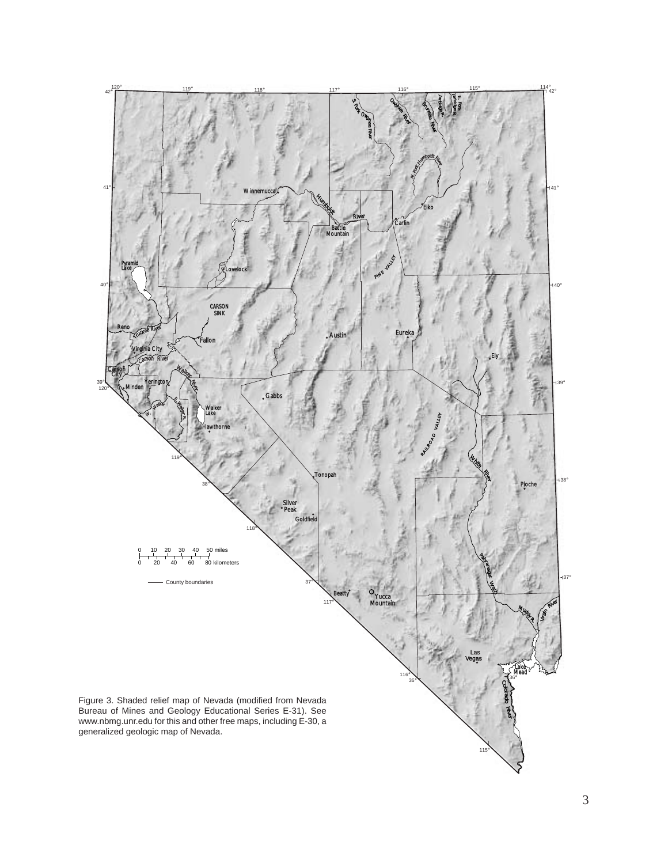

3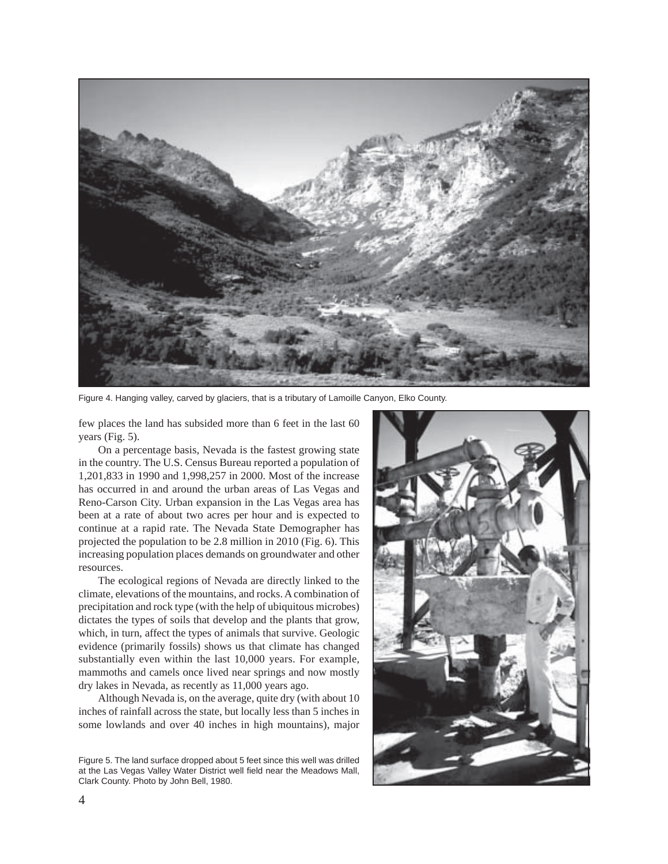

Figure 4. Hanging valley, carved by glaciers, that is a tributary of Lamoille Canyon, Elko County.

few places the land has subsided more than 6 feet in the last 60 years (Fig. 5).

On a percentage basis, Nevada is the fastest growing state in the country. The U.S. Census Bureau reported a population of 1,201,833 in 1990 and 1,998,257 in 2000. Most of the increase has occurred in and around the urban areas of Las Vegas and Reno-Carson City. Urban expansion in the Las Vegas area has been at a rate of about two acres per hour and is expected to continue at a rapid rate. The Nevada State Demographer has projected the population to be 2.8 million in 2010 (Fig. 6). This increasing population places demands on groundwater and other resources.

The ecological regions of Nevada are directly linked to the climate, elevations of the mountains, and rocks. A combination of precipitation and rock type (with the help of ubiquitous microbes) dictates the types of soils that develop and the plants that grow, which, in turn, affect the types of animals that survive. Geologic evidence (primarily fossils) shows us that climate has changed substantially even within the last 10,000 years. For example, mammoths and camels once lived near springs and now mostly dry lakes in Nevada, as recently as 11,000 years ago.

Although Nevada is, on the average, quite dry (with about 10 inches of rainfall across the state, but locally less than 5 inches in some lowlands and over 40 inches in high mountains), major

Figure 5. The land surface dropped about 5 feet since this well was drilled at the Las Vegas Valley Water District well field near the Meadows Mall, Clark County. Photo by John Bell, 1980.

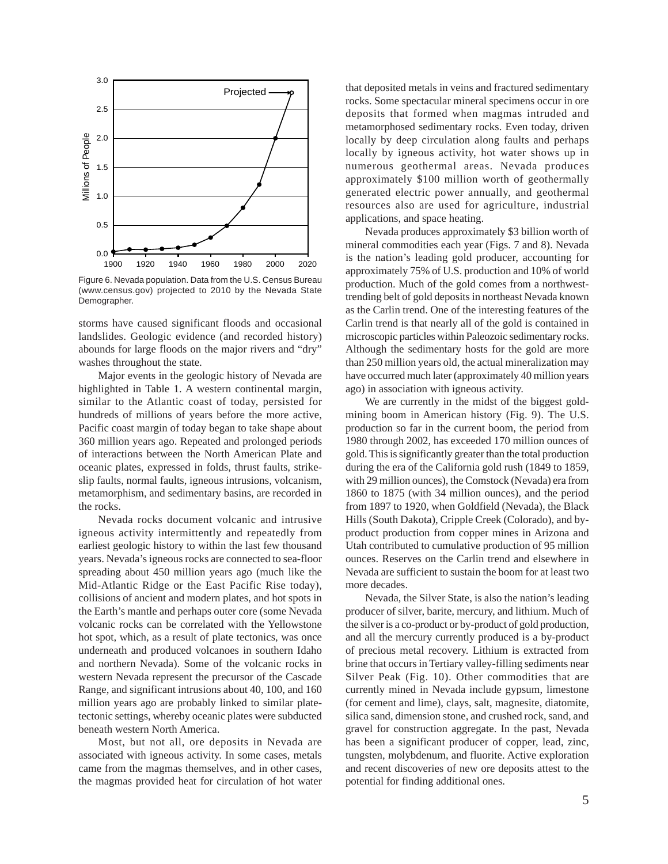

Figure 6. Nevada population. Data from the U.S. Census Bureau (www.census.gov) projected to 2010 by the Nevada State Demographer.

storms have caused significant floods and occasional landslides. Geologic evidence (and recorded history) abounds for large floods on the major rivers and "dry" washes throughout the state.

Major events in the geologic history of Nevada are highlighted in Table 1. A western continental margin, similar to the Atlantic coast of today, persisted for hundreds of millions of years before the more active, Pacific coast margin of today began to take shape about 360 million years ago. Repeated and prolonged periods of interactions between the North American Plate and oceanic plates, expressed in folds, thrust faults, strikeslip faults, normal faults, igneous intrusions, volcanism, metamorphism, and sedimentary basins, are recorded in the rocks.

Nevada rocks document volcanic and intrusive igneous activity intermittently and repeatedly from earliest geologic history to within the last few thousand years. Nevada's igneous rocks are connected to sea-floor spreading about 450 million years ago (much like the Mid-Atlantic Ridge or the East Pacific Rise today), collisions of ancient and modern plates, and hot spots in the Earth's mantle and perhaps outer core (some Nevada volcanic rocks can be correlated with the Yellowstone hot spot, which, as a result of plate tectonics, was once underneath and produced volcanoes in southern Idaho and northern Nevada). Some of the volcanic rocks in western Nevada represent the precursor of the Cascade Range, and significant intrusions about 40, 100, and 160 million years ago are probably linked to similar platetectonic settings, whereby oceanic plates were subducted beneath western North America.

Most, but not all, ore deposits in Nevada are associated with igneous activity. In some cases, metals came from the magmas themselves, and in other cases, the magmas provided heat for circulation of hot water that deposited metals in veins and fractured sedimentary rocks. Some spectacular mineral specimens occur in ore deposits that formed when magmas intruded and metamorphosed sedimentary rocks. Even today, driven locally by deep circulation along faults and perhaps locally by igneous activity, hot water shows up in numerous geothermal areas. Nevada produces approximately \$100 million worth of geothermally generated electric power annually, and geothermal resources also are used for agriculture, industrial applications, and space heating.

Nevada produces approximately \$3 billion worth of mineral commodities each year (Figs. 7 and 8). Nevada is the nation's leading gold producer, accounting for approximately 75% of U.S. production and 10% of world production. Much of the gold comes from a northwesttrending belt of gold deposits in northeast Nevada known as the Carlin trend. One of the interesting features of the Carlin trend is that nearly all of the gold is contained in microscopic particles within Paleozoic sedimentary rocks. Although the sedimentary hosts for the gold are more than 250 million years old, the actual mineralization may have occurred much later (approximately 40 million years ago) in association with igneous activity.

We are currently in the midst of the biggest goldmining boom in American history (Fig. 9). The U.S. production so far in the current boom, the period from 1980 through 2002, has exceeded 170 million ounces of gold. This is significantly greater than the total production during the era of the California gold rush (1849 to 1859, with 29 million ounces), the Comstock (Nevada) era from 1860 to 1875 (with 34 million ounces), and the period from 1897 to 1920, when Goldfield (Nevada), the Black Hills (South Dakota), Cripple Creek (Colorado), and byproduct production from copper mines in Arizona and Utah contributed to cumulative production of 95 million ounces. Reserves on the Carlin trend and elsewhere in Nevada are sufficient to sustain the boom for at least two more decades.

Nevada, the Silver State, is also the nation's leading producer of silver, barite, mercury, and lithium. Much of the silver is a co-product or by-product of gold production, and all the mercury currently produced is a by-product of precious metal recovery. Lithium is extracted from brine that occurs in Tertiary valley-filling sediments near Silver Peak (Fig. 10). Other commodities that are currently mined in Nevada include gypsum, limestone (for cement and lime), clays, salt, magnesite, diatomite, silica sand, dimension stone, and crushed rock, sand, and gravel for construction aggregate. In the past, Nevada has been a significant producer of copper, lead, zinc, tungsten, molybdenum, and fluorite. Active exploration and recent discoveries of new ore deposits attest to the potential for finding additional ones.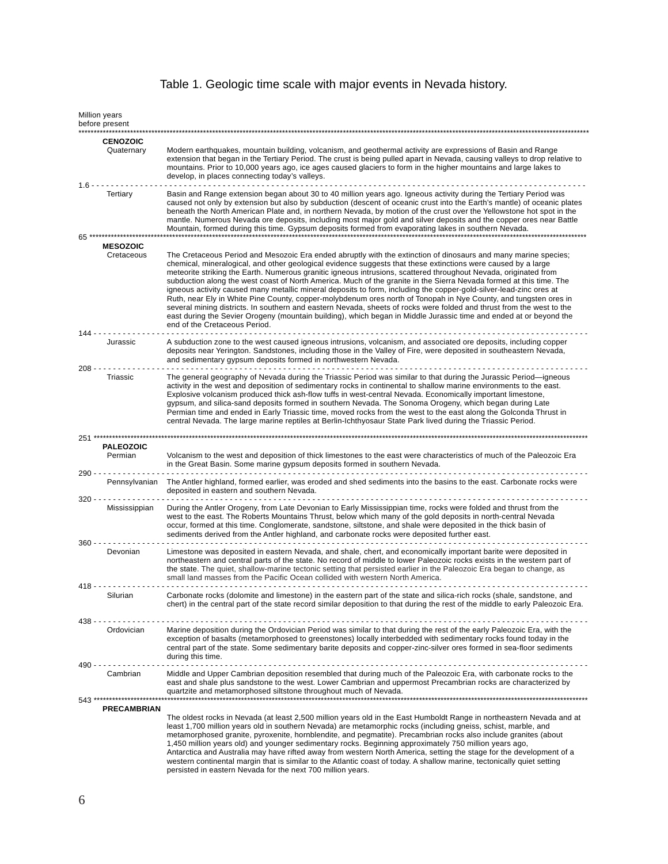## Table 1. Geologic time scale with major events in Nevada history.

|           | Million years<br>before present |                                                                                                                                                                                                                                                                                                                                                                                                                                                                                                                                                                                                                                                                                                                                                                                                                                                                                                                                                                                                       |
|-----------|---------------------------------|-------------------------------------------------------------------------------------------------------------------------------------------------------------------------------------------------------------------------------------------------------------------------------------------------------------------------------------------------------------------------------------------------------------------------------------------------------------------------------------------------------------------------------------------------------------------------------------------------------------------------------------------------------------------------------------------------------------------------------------------------------------------------------------------------------------------------------------------------------------------------------------------------------------------------------------------------------------------------------------------------------|
|           | <b>CENOZOIC</b><br>Quaternary   | Modern earthquakes, mountain building, volcanism, and geothermal activity are expressions of Basin and Range<br>extension that began in the Tertiary Period. The crust is being pulled apart in Nevada, causing valleys to drop relative to<br>mountains. Prior to 10,000 years ago, ice ages caused glaciers to form in the higher mountains and large lakes to<br>develop, in places connecting today's valleys.                                                                                                                                                                                                                                                                                                                                                                                                                                                                                                                                                                                    |
| $1.6 -$   | Tertiary                        | Basin and Range extension began about 30 to 40 million years ago. Igneous activity during the Tertiary Period was<br>caused not only by extension but also by subduction (descent of oceanic crust into the Earth's mantle) of oceanic plates<br>beneath the North American Plate and, in northern Nevada, by motion of the crust over the Yellowstone hot spot in the<br>mantle. Numerous Nevada ore deposits, including most major gold and silver deposits and the copper ores near Battle                                                                                                                                                                                                                                                                                                                                                                                                                                                                                                         |
| 65        |                                 | Mountain, formed during this time. Gypsum deposits formed from evaporating lakes in southern Nevada.                                                                                                                                                                                                                                                                                                                                                                                                                                                                                                                                                                                                                                                                                                                                                                                                                                                                                                  |
|           | <b>MESOZOIC</b>                 |                                                                                                                                                                                                                                                                                                                                                                                                                                                                                                                                                                                                                                                                                                                                                                                                                                                                                                                                                                                                       |
|           | Cretaceous                      | The Cretaceous Period and Mesozoic Era ended abruptly with the extinction of dinosaurs and many marine species;<br>chemical, mineralogical, and other geological evidence suggests that these extinctions were caused by a large<br>meteorite striking the Earth. Numerous granitic igneous intrusions, scattered throughout Nevada, originated from<br>subduction along the west coast of North America. Much of the granite in the Sierra Nevada formed at this time. The<br>igneous activity caused many metallic mineral deposits to form, including the copper-gold-silver-lead-zinc ores at<br>Ruth, near Ely in White Pine County, copper-molybdenum ores north of Tonopah in Nye County, and tungsten ores in<br>several mining districts. In southern and eastern Nevada, sheets of rocks were folded and thrust from the west to the<br>east during the Sevier Orogeny (mountain building), which began in Middle Jurassic time and ended at or beyond the<br>end of the Cretaceous Period. |
| 144 -     | Jurassic                        | A subduction zone to the west caused igneous intrusions, volcanism, and associated ore deposits, including copper<br>deposits near Yerington. Sandstones, including those in the Valley of Fire, were deposited in southeastern Nevada,<br>and sedimentary gypsum deposits formed in northwestern Nevada.                                                                                                                                                                                                                                                                                                                                                                                                                                                                                                                                                                                                                                                                                             |
| $208 - -$ | Triassic                        | The general geography of Nevada during the Triassic Period was similar to that during the Jurassic Period-igneous<br>activity in the west and deposition of sedimentary rocks in continental to shallow marine environments to the east.<br>Explosive volcanism produced thick ash-flow tuffs in west-central Nevada. Economically important limestone,<br>gypsum, and silica-sand deposits formed in southern Nevada. The Sonoma Orogeny, which began during Late<br>Permian time and ended in Early Triassic time, moved rocks from the west to the east along the Golconda Thrust in<br>central Nevada. The large marine reptiles at Berlin-Ichthyosaur State Park lived during the Triassic Period.                                                                                                                                                                                                                                                                                               |
| 251       |                                 |                                                                                                                                                                                                                                                                                                                                                                                                                                                                                                                                                                                                                                                                                                                                                                                                                                                                                                                                                                                                       |
| $290 - -$ | <b>PALEOZOIC</b><br>Permian     | Volcanism to the west and deposition of thick limestones to the east were characteristics of much of the Paleozoic Era<br>in the Great Basin. Some marine gypsum deposits formed in southern Nevada.                                                                                                                                                                                                                                                                                                                                                                                                                                                                                                                                                                                                                                                                                                                                                                                                  |
| $320 - -$ | Pennsylvanian                   | The Antler highland, formed earlier, was eroded and shed sediments into the basins to the east. Carbonate rocks were<br>deposited in eastern and southern Nevada.                                                                                                                                                                                                                                                                                                                                                                                                                                                                                                                                                                                                                                                                                                                                                                                                                                     |
|           | Mississippian                   | During the Antler Orogeny, from Late Devonian to Early Mississippian time, rocks were folded and thrust from the<br>west to the east. The Roberts Mountains Thrust, below which many of the gold deposits in north-central Nevada<br>occur, formed at this time. Conglomerate, sandstone, siltstone, and shale were deposited in the thick basin of<br>sediments derived from the Antler highland, and carbonate rocks were deposited further east.                                                                                                                                                                                                                                                                                                                                                                                                                                                                                                                                                   |
| - - 360   | Devonian                        | Limestone was deposited in eastern Nevada, and shale, chert, and economically important barite were deposited in<br>northeastern and central parts of the state. No record of middle to lower Paleozoic rocks exists in the western part of<br>the state. The quiet, shallow-marine tectonic setting that persisted earlier in the Paleozoic Era began to change, as<br>small land masses from the Pacific Ocean collided with western North America.                                                                                                                                                                                                                                                                                                                                                                                                                                                                                                                                                 |
|           | 418 - - - - -<br>Silurian       | Carbonate rocks (dolomite and limestone) in the eastern part of the state and silica-rich rocks (shale, sandstone, and<br>chert) in the central part of the state record similar deposition to that during the rest of the middle to early Paleozoic Era.                                                                                                                                                                                                                                                                                                                                                                                                                                                                                                                                                                                                                                                                                                                                             |
| $438 - -$ |                                 |                                                                                                                                                                                                                                                                                                                                                                                                                                                                                                                                                                                                                                                                                                                                                                                                                                                                                                                                                                                                       |
| 490 - -   | Ordovician                      | Marine deposition during the Ordovician Period was similar to that during the rest of the early Paleozoic Era, with the<br>exception of basalts (metamorphosed to greenstones) locally interbedded with sedimentary rocks found today in the<br>central part of the state. Some sedimentary barite deposits and copper-zinc-silver ores formed in sea-floor sediments<br>during this time.                                                                                                                                                                                                                                                                                                                                                                                                                                                                                                                                                                                                            |
| 543 ****  | Cambrian                        | Middle and Upper Cambrian deposition resembled that during much of the Paleozoic Era, with carbonate rocks to the<br>east and shale plus sandstone to the west. Lower Cambrian and uppermost Precambrian rocks are characterized by<br>quartzite and metamorphosed siltstone throughout much of Nevada.                                                                                                                                                                                                                                                                                                                                                                                                                                                                                                                                                                                                                                                                                               |
|           | <b>PRECAMBRIAN</b>              |                                                                                                                                                                                                                                                                                                                                                                                                                                                                                                                                                                                                                                                                                                                                                                                                                                                                                                                                                                                                       |
|           |                                 | The oldest rocks in Nevada (at least 2,500 million years old in the East Humboldt Range in northeastern Nevada and at<br>least 1,700 million years old in southern Nevada) are metamorphic rocks (including gneiss, schist, marble, and<br>metamorphosed granite, pyroxenite, hornblendite, and pegmatite). Precambrian rocks also include granites (about<br>1,450 million years old) and younger sedimentary rocks. Beginning approximately 750 million years ago,<br>Antarctica and Australia may have rifted away from western North America, setting the stage for the development of a<br>western continental margin that is similar to the Atlantic coast of today. A shallow marine, tectonically quiet setting<br>persisted in eastern Nevada for the next 700 million years.                                                                                                                                                                                                                |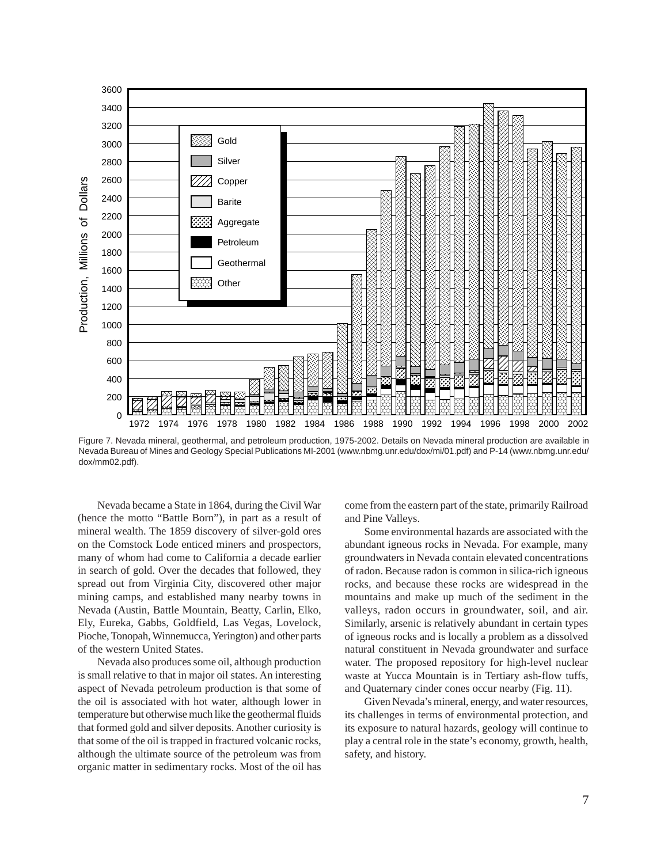

Figure 7. Nevada mineral, geothermal, and petroleum production, 1975-2002. Details on Nevada mineral production are available in Nevada Bureau of Mines and Geology Special Publications MI-2001 (www.nbmg.unr.edu/dox/mi/01.pdf) and P-14 (www.nbmg.unr.edu/ dox/mm02.pdf).

Nevada became a State in 1864, during the Civil War (hence the motto "Battle Born"), in part as a result of mineral wealth. The 1859 discovery of silver-gold ores on the Comstock Lode enticed miners and prospectors, many of whom had come to California a decade earlier in search of gold. Over the decades that followed, they spread out from Virginia City, discovered other major mining camps, and established many nearby towns in Nevada (Austin, Battle Mountain, Beatty, Carlin, Elko, Ely, Eureka, Gabbs, Goldfield, Las Vegas, Lovelock, Pioche, Tonopah, Winnemucca, Yerington) and other parts of the western United States.

Nevada also produces some oil, although production is small relative to that in major oil states. An interesting aspect of Nevada petroleum production is that some of the oil is associated with hot water, although lower in temperature but otherwise much like the geothermal fluids that formed gold and silver deposits. Another curiosity is that some of the oil is trapped in fractured volcanic rocks, although the ultimate source of the petroleum was from organic matter in sedimentary rocks. Most of the oil has

come from the eastern part of the state, primarily Railroad and Pine Valleys.

Some environmental hazards are associated with the abundant igneous rocks in Nevada. For example, many groundwaters in Nevada contain elevated concentrations of radon. Because radon is common in silica-rich igneous rocks, and because these rocks are widespread in the mountains and make up much of the sediment in the valleys, radon occurs in groundwater, soil, and air. Similarly, arsenic is relatively abundant in certain types of igneous rocks and is locally a problem as a dissolved natural constituent in Nevada groundwater and surface water. The proposed repository for high-level nuclear waste at Yucca Mountain is in Tertiary ash-flow tuffs, and Quaternary cinder cones occur nearby (Fig. 11).

Given Nevada's mineral, energy, and water resources, its challenges in terms of environmental protection, and its exposure to natural hazards, geology will continue to play a central role in the state's economy, growth, health, safety, and history.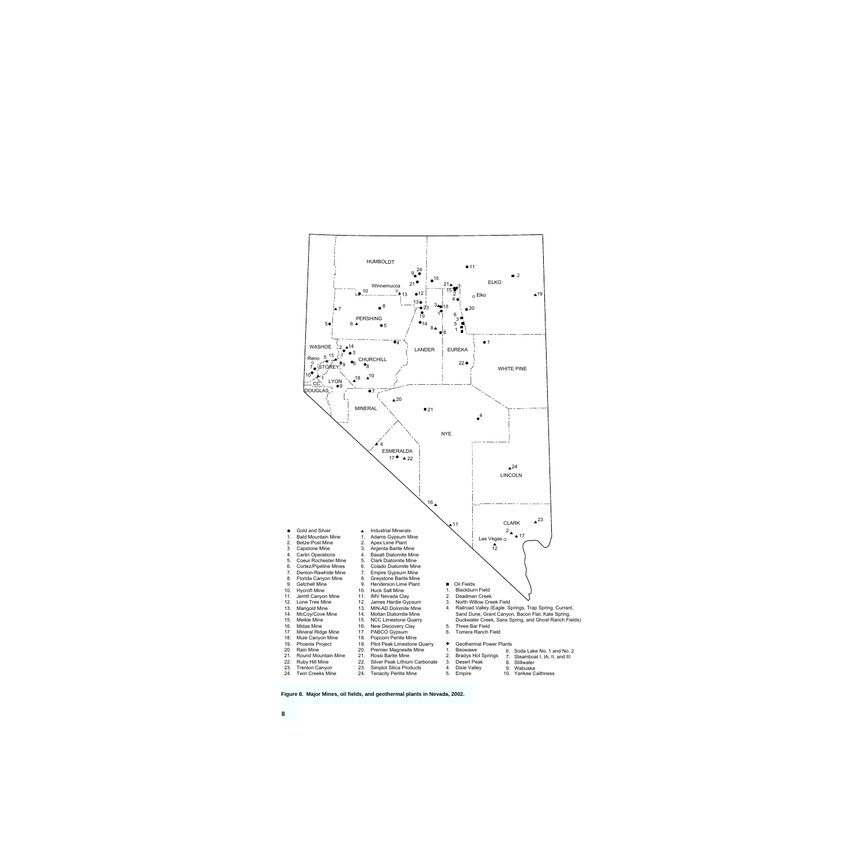

**Figure 8. Major Mines, oil fields, and geothermal plants in Nevada, 2002.**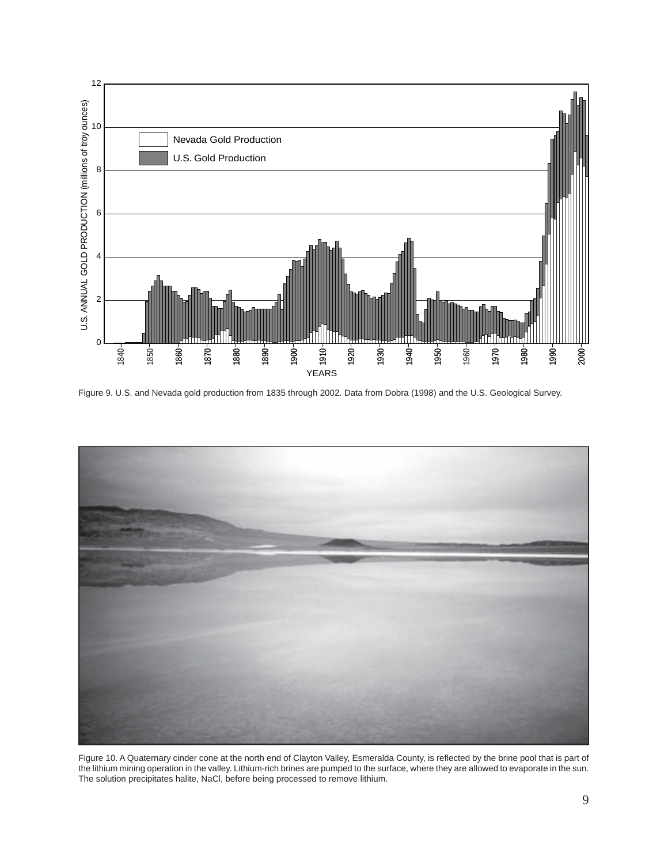

Figure 9. U.S. and Nevada gold production from 1835 through 2002. Data from Dobra (1998) and the U.S. Geological Survey.



Figure 10. A Quaternary cinder cone at the north end of Clayton Valley, Esmeralda County, is reflected by the brine pool that is part of the lithium mining operation in the valley. Lithium-rich brines are pumped to the surface, where they are allowed to evaporate in the sun. The solution precipitates halite, NaCl, before being processed to remove lithium.